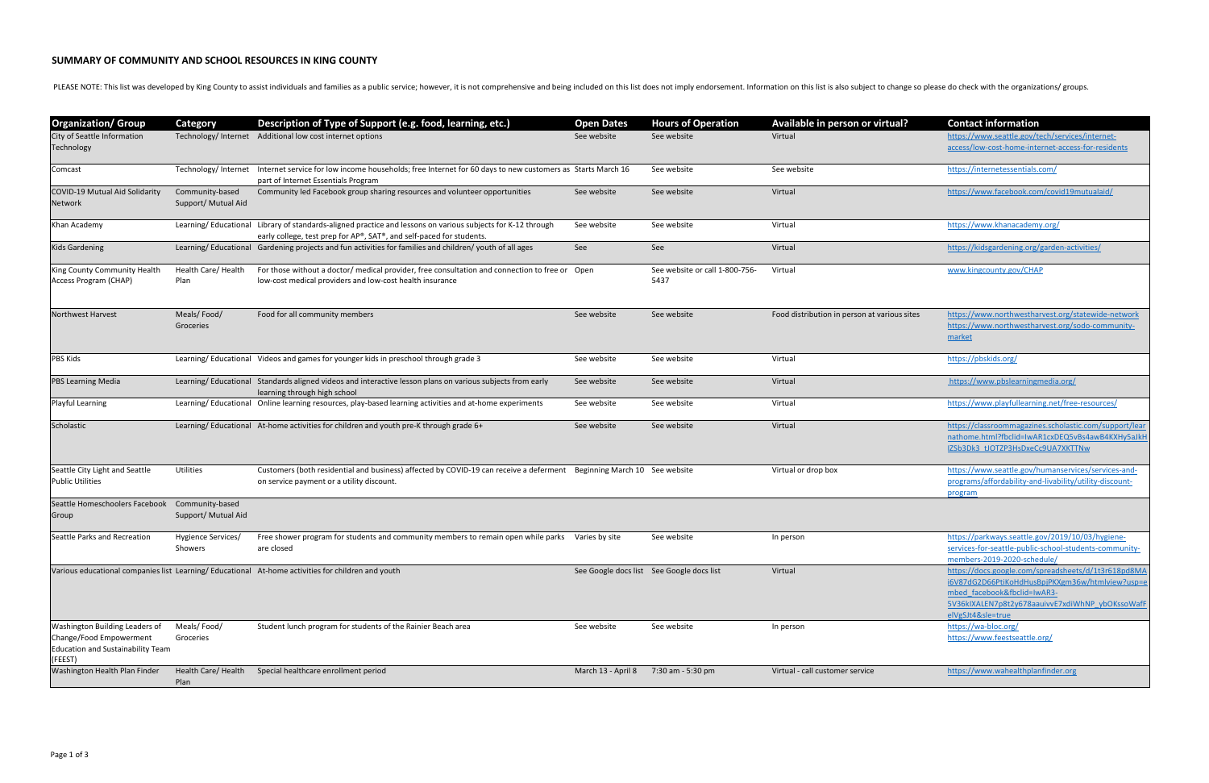## **SUMMARY OF COMMUNITY AND SCHOOL RESOURCES IN KING COUNTY**

PLEASE NOTE: This list was developed by King County to assist individuals and families as a public service; however, it is not comprehensive and being included on this list does not imply endorsement. Information on this l

| <b>Organization/ Group</b>                                                                                              | <b>Category</b>                        | Description of Type of Support (e.g. food, learning, etc.)                                                                                                                          | <b>Open Dates</b>  | <b>Hours of Operation</b>                 | Available in person or virtual?              | <b>Contact information</b>                                                                                                                                                                                    |
|-------------------------------------------------------------------------------------------------------------------------|----------------------------------------|-------------------------------------------------------------------------------------------------------------------------------------------------------------------------------------|--------------------|-------------------------------------------|----------------------------------------------|---------------------------------------------------------------------------------------------------------------------------------------------------------------------------------------------------------------|
| City of Seattle Information<br>Technology                                                                               |                                        | Technology/ Internet Additional low cost internet options                                                                                                                           | See website        | See website                               | Virtual                                      | https://www.seattle.gov/tech/services/internet-<br>access/low-cost-home-internet-access-for-residents                                                                                                         |
| Comcast                                                                                                                 |                                        | Technology/Internet Internet service for low income households; free Internet for 60 days to new customers as Starts March 16<br>part of Internet Essentials Program                |                    | See website                               | See website                                  | https://internetessentials.com/                                                                                                                                                                               |
| COVID-19 Mutual Aid Solidarity<br>Network                                                                               | Community-based<br>Support/ Mutual Aid | Community led Facebook group sharing resources and volunteer opportunities                                                                                                          | See website        | See website                               | Virtual                                      | https://www.facebook.com/covid19mutualaid/                                                                                                                                                                    |
| Khan Academy                                                                                                            |                                        | Learning/Educational Library of standards-aligned practice and lessons on various subjects for K-12 through<br>early college, test prep for AP®, SAT®, and self-paced for students. | See website        | See website                               | Virtual                                      | https://www.khanacademy.org/                                                                                                                                                                                  |
| <b>Kids Gardening</b>                                                                                                   |                                        | Learning/Educational Gardening projects and fun activities for families and children/youth of all ages                                                                              | See                | See                                       | Virtual                                      | https://kidsgardening.org/garden-activities/                                                                                                                                                                  |
| King County Community Health<br>Access Program (CHAP)                                                                   | Health Care/ Health<br>Plan            | For those without a doctor/ medical provider, free consultation and connection to free or Open<br>low-cost medical providers and low-cost health insurance                          |                    | See website or call 1-800-756-<br>5437    | Virtual                                      | www.kingcounty.gov/CHAP                                                                                                                                                                                       |
| <b>Northwest Harvest</b>                                                                                                | Meals/Food/<br>Groceries               | Food for all community members                                                                                                                                                      | See website        | See website                               | Food distribution in person at various sites | https://www.northwestharvest.org/statewide-network<br>https://www.northwestharvest.org/sodo-community-<br>market                                                                                              |
| <b>PBS Kids</b>                                                                                                         |                                        | Learning/Educational Videos and games for younger kids in preschool through grade 3                                                                                                 | See website        | See website                               | Virtual                                      | https://pbskids.org/                                                                                                                                                                                          |
| <b>PBS Learning Media</b>                                                                                               |                                        | Learning/Educational Standards aligned videos and interactive lesson plans on various subjects from early<br>learning through high school                                           | See website        | See website                               | Virtual                                      | https://www.pbslearningmedia.org/                                                                                                                                                                             |
| Playful Learning                                                                                                        |                                        | Learning/Educational Online learning resources, play-based learning activities and at-home experiments                                                                              | See website        | See website                               | Virtual                                      | https://www.playfullearning.net/free-resources/                                                                                                                                                               |
| Scholastic                                                                                                              |                                        | Learning/Educational At-home activities for children and youth pre-K through grade 6+                                                                                               | See website        | See website                               | Virtual                                      | https://classroommagazines.scholastic.com/support/lear<br>nathome.html?fbclid=IwAR1cxDEQ5vBs4awB4KXHy5aJkH<br>IZSb3Dk3 tJOTZP3HsDxeCc9UA7XKTTNw                                                               |
| Seattle City Light and Seattle<br><b>Public Utilities</b>                                                               | Utilities                              | Customers (both residential and business) affected by COVID-19 can receive a deferment Beginning March 10 See website<br>on service payment or a utility discount.                  |                    |                                           | Virtual or drop box                          | https://www.seattle.gov/humanservices/services-and-<br>programs/affordability-and-livability/utility-discount-<br>program                                                                                     |
| Seattle Homeschoolers Facebook<br>Group                                                                                 | Community-based<br>Support/ Mutual Aid |                                                                                                                                                                                     |                    |                                           |                                              |                                                                                                                                                                                                               |
| Seattle Parks and Recreation                                                                                            | Hygience Services/<br>Showers          | Free shower program for students and community members to remain open while parks Varies by site<br>are closed                                                                      |                    | See website                               | In person                                    | https://parkways.seattle.gov/2019/10/03/hygiene-<br>services-for-seattle-public-school-students-community-<br>members-2019-2020-schedule/                                                                     |
|                                                                                                                         |                                        | Various educational companies list Learning/Educational At-home activities for children and youth                                                                                   |                    | See Google docs list See Google docs list | Virtual                                      | https://docs.google.com/spreadsheets/d/1t3r618pd8MA<br>i6V87dG2D66PtiKoHdHusBpjPKXgm36w/htmlview?usp=e<br>mbed facebook&fbclid=IwAR3-<br>5V36kIXALEN7p8t2y678aauivvE7xdiWhNP_ybOKssoWafF<br>elVgSJt4&sle=true |
| <b>Washington Building Leaders of</b><br>Change/Food Empowerment<br><b>Education and Sustainability Team</b><br>(FEEST) | Meals/Food/<br>Groceries               | Student lunch program for students of the Rainier Beach area                                                                                                                        | See website        | See website                               | In person                                    | https://wa-bloc.org/<br>https://www.feestseattle.org/                                                                                                                                                         |
| Washington Health Plan Finder                                                                                           | Health Care/ Health<br>Plan            | Special healthcare enrollment period                                                                                                                                                | March 13 - April 8 | 7:30 am - 5:30 pm                         | Virtual - call customer service              | https://www.wahealthplanfinder.org                                                                                                                                                                            |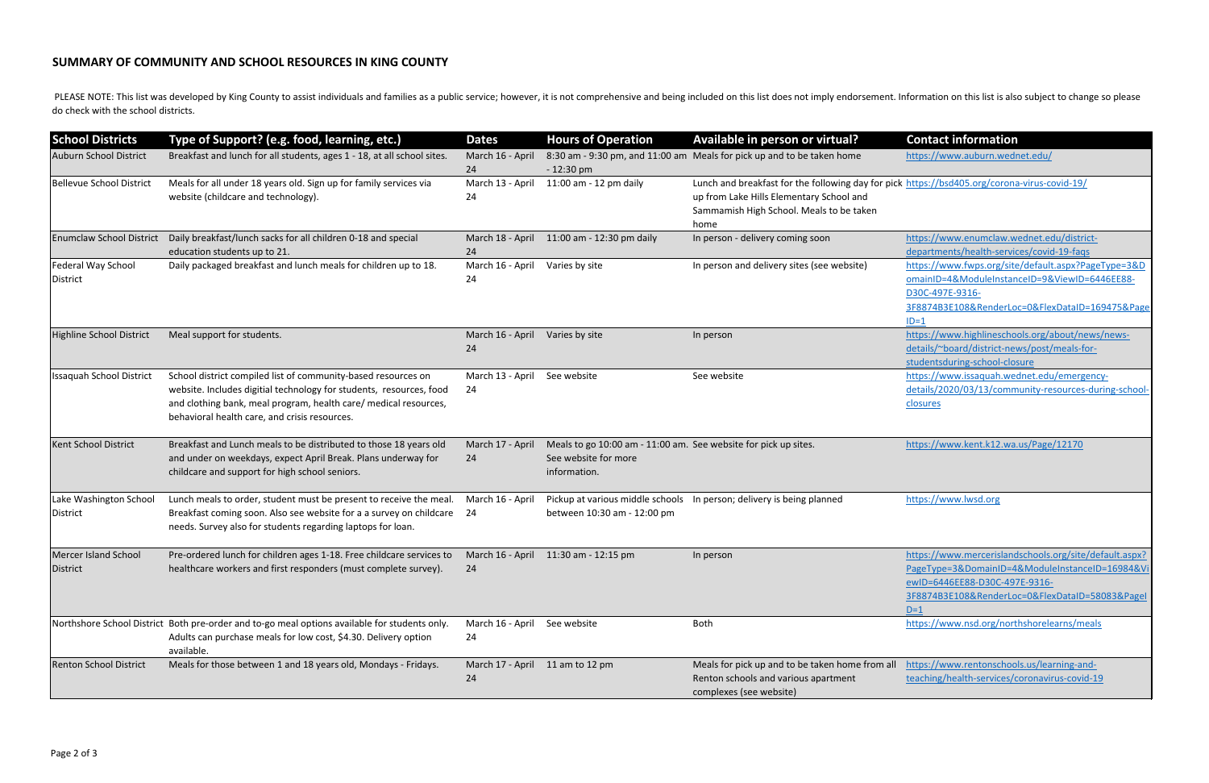## **SUMMARY OF COMMUNITY AND SCHOOL RESOURCES IN KING COUNTY**

| <b>School Districts</b>            | Type of Support? (e.g. food, learning, etc.)                                                                                                                                                                                                              | <b>Dates</b>           | <b>Hours of Operation</b>                                                                               | Available in person or virtual?                                                                                                                                                              | <b>Contact information</b>                                                                                                                                                                           |
|------------------------------------|-----------------------------------------------------------------------------------------------------------------------------------------------------------------------------------------------------------------------------------------------------------|------------------------|---------------------------------------------------------------------------------------------------------|----------------------------------------------------------------------------------------------------------------------------------------------------------------------------------------------|------------------------------------------------------------------------------------------------------------------------------------------------------------------------------------------------------|
| Auburn School District             | Breakfast and lunch for all students, ages 1 - 18, at all school sites.                                                                                                                                                                                   | March 16 - April<br>24 | $-12:30$ pm                                                                                             | 8:30 am - 9:30 pm, and 11:00 am Meals for pick up and to be taken home                                                                                                                       | https://www.auburn.wednet.edu/                                                                                                                                                                       |
| Bellevue School District           | Meals for all under 18 years old. Sign up for family services via<br>website (childcare and technology).                                                                                                                                                  | March 13 - April<br>24 | 11:00 am - 12 pm daily                                                                                  | Lunch and breakfast for the following day for pick https://bsd405.org/corona-virus-covid-19/<br>up from Lake Hills Elementary School and<br>Sammamish High School. Meals to be taken<br>home |                                                                                                                                                                                                      |
| <b>Enumclaw School District</b>    | Daily breakfast/lunch sacks for all children 0-18 and special<br>education students up to 21.                                                                                                                                                             | March 18 - April<br>24 | 11:00 am - 12:30 pm daily                                                                               | In person - delivery coming soon                                                                                                                                                             | https://www.enumclaw.wednet.edu/district-<br>departments/health-services/covid-19-faqs                                                                                                               |
| Federal Way School<br>District     | Daily packaged breakfast and lunch meals for children up to 18.                                                                                                                                                                                           | March 16 - April<br>24 | Varies by site                                                                                          | In person and delivery sites (see website)                                                                                                                                                   | https://www.fwps.org/site/default.aspx?PageType=3&D<br>omainID=4&ModuleInstanceID=9&ViewID=6446EE88-<br>D30C-497E-9316-<br>3F8874B3E108&RenderLoc=0&FlexDataID=169475&Pag<br>$ID=1$                  |
| Highline School District           | Meal support for students.                                                                                                                                                                                                                                | March 16 - April<br>24 | Varies by site                                                                                          | In person                                                                                                                                                                                    | https://www.highlineschools.org/about/news/news-<br>details/~board/district-news/post/meals-for-<br>studentsduring-school-closure                                                                    |
| <b>Issaquah School District</b>    | School district compiled list of community-based resources on<br>website. Includes digitial technology for students, resources, food<br>and clothing bank, meal program, health care/ medical resources,<br>behavioral health care, and crisis resources. | March 13 - April<br>24 | See website                                                                                             | See website                                                                                                                                                                                  | https://www.issaquah.wednet.edu/emergency-<br>details/2020/03/13/community-resources-during-school<br>closures                                                                                       |
| <b>Kent School District</b>        | Breakfast and Lunch meals to be distributed to those 18 years old<br>and under on weekdays, expect April Break. Plans underway for<br>childcare and support for high school seniors.                                                                      | March 17 - April<br>24 | Meals to go 10:00 am - 11:00 am. See website for pick up sites.<br>See website for more<br>information. |                                                                                                                                                                                              | https://www.kent.k12.wa.us/Page/12170                                                                                                                                                                |
| Lake Washington School<br>District | Lunch meals to order, student must be present to receive the meal.<br>Breakfast coming soon. Also see website for a a survey on childcare 24<br>needs. Survey also for students regarding laptops for loan.                                               | March 16 - April       | between 10:30 am - 12:00 pm                                                                             | Pickup at various middle schools  In person; delivery is being planned                                                                                                                       | https://www.lwsd.org                                                                                                                                                                                 |
| Mercer Island School<br>District   | Pre-ordered lunch for children ages 1-18. Free childcare services to March 16 - April 11:30 am - 12:15 pm<br>healthcare workers and first responders (must complete survey).                                                                              | -24                    |                                                                                                         | In person                                                                                                                                                                                    | https://www.mercerislandschools.org/site/default.aspx?<br>PageType=3&DomainID=4&ModuleInstanceID=16984&V<br>ewID=6446EE88-D30C-497E-9316-<br>3F8874B3E108&RenderLoc=0&FlexDataID=58083&Page<br>$D=1$ |
|                                    | Northshore School District Both pre-order and to-go meal options available for students only.<br>Adults can purchase meals for low cost, \$4.30. Delivery option<br>available.                                                                            | March 16 - April<br>24 | See website                                                                                             | Both                                                                                                                                                                                         | https://www.nsd.org/northshorelearns/meals                                                                                                                                                           |
| <b>Renton School District</b>      | Meals for those between 1 and 18 years old, Mondays - Fridays.                                                                                                                                                                                            | 24                     | March 17 - April 11 am to 12 pm                                                                         | Meals for pick up and to be taken home from all<br>Renton schools and various apartment<br>complexes (see website)                                                                           | https://www.rentonschools.us/learning-and-<br>teaching/health-services/coronavirus-covid-19                                                                                                          |

| <b>Available in person or virtual?</b>                                                       | <b>Contact information</b>                             |
|----------------------------------------------------------------------------------------------|--------------------------------------------------------|
| Meals for pick up and to be taken home                                                       | https://www.auburn.wednet.edu/                         |
| Lunch and breakfast for the following day for pick https://bsd405.org/corona-virus-covid-19/ |                                                        |
| up from Lake Hills Elementary School and                                                     |                                                        |
| Sammamish High School. Meals to be taken                                                     |                                                        |
| home                                                                                         |                                                        |
| In person - delivery coming soon                                                             | https://www.enumclaw.wednet.edu/district-              |
|                                                                                              | departments/health-services/covid-19-faqs              |
| In person and delivery sites (see website)                                                   | https://www.fwps.org/site/default.aspx?PageType=3&D    |
|                                                                                              | omainID=4&ModuleInstanceID=9&ViewID=6446EE88-          |
|                                                                                              | D30C-497E-9316-                                        |
|                                                                                              | 3F8874B3E108&RenderLoc=0&FlexDataID=169475&Page        |
|                                                                                              | $ID=1$                                                 |
| In person                                                                                    | https://www.highlineschools.org/about/news/news-       |
|                                                                                              | details/~board/district-news/post/meals-for-           |
|                                                                                              | studentsduring-school-closure                          |
| See website                                                                                  | https://www.issaquah.wednet.edu/emergency-             |
|                                                                                              | details/2020/03/13/community-resources-during-school-  |
|                                                                                              | closures                                               |
|                                                                                              |                                                        |
|                                                                                              |                                                        |
| See website for pick up sites.                                                               | https://www.kent.k12.wa.us/Page/12170                  |
|                                                                                              |                                                        |
|                                                                                              |                                                        |
|                                                                                              |                                                        |
| In person; delivery is being planned                                                         | https://www.lwsd.org                                   |
|                                                                                              |                                                        |
|                                                                                              |                                                        |
|                                                                                              |                                                        |
| in person                                                                                    | https://www.mercerislandschools.org/site/default.aspx? |
|                                                                                              | PageType=3&DomainID=4&ModuleInstanceID=16984&Vi        |
|                                                                                              | ewID=6446EE88-D30C-497E-9316-                          |
|                                                                                              | 3F8874B3E108&RenderLoc=0&FlexDataID=58083&PageI        |
|                                                                                              | $D=1$                                                  |
| Both                                                                                         | https://www.nsd.org/northshorelearns/meals             |
|                                                                                              |                                                        |
|                                                                                              |                                                        |
| Meals for pick up and to be taken home from all                                              | https://www.rentonschools.us/learning-and-             |
| Renton schools and various apartment                                                         | teaching/health-services/coronavirus-covid-19          |
| complexes (see website)                                                                      |                                                        |

PLEASE NOTE: This list was developed by King County to assist individuals and families as a public service; however, it is not comprehensive and being included on this list does not imply endorsement. Information on this l do check with the school districts.